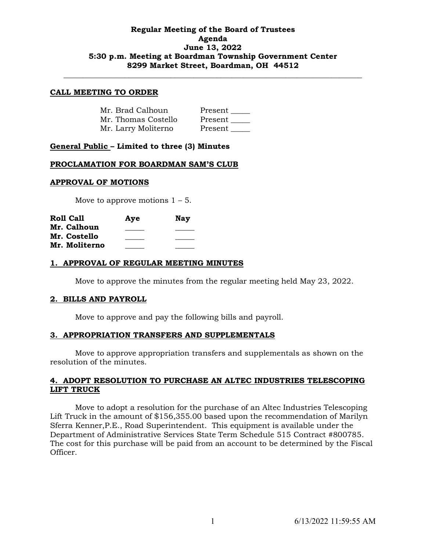# **Regular Meeting of the Board of Trustees Agenda June 13, 2022 5:30 p.m. Meeting at Boardman Township Government Center 8299 Market Street, Boardman, OH 44512**

**\_\_\_\_\_\_\_\_\_\_\_\_\_\_\_\_\_\_\_\_\_\_\_\_\_\_\_\_\_\_\_\_\_\_\_\_\_\_\_\_\_\_\_\_\_\_\_\_\_\_\_\_\_\_\_\_\_\_\_\_\_\_\_\_\_\_\_\_\_\_\_\_\_\_\_\_\_\_**

#### **CALL MEETING TO ORDER**

| Mr. Brad Calhoun    | Present |
|---------------------|---------|
| Mr. Thomas Costello | Present |
| Mr. Larry Moliterno | Present |

# **General Public – Limited to three (3) Minutes**

#### **PROCLAMATION FOR BOARDMAN SAM'S CLUB**

#### **APPROVAL OF MOTIONS**

Move to approve motions  $1 - 5$ .

| <b>Roll Call</b> | Aye | Nay |
|------------------|-----|-----|
| Mr. Calhoun      |     |     |
| Mr. Costello     |     |     |
| Mr. Moliterno    |     |     |

#### **1. APPROVAL OF REGULAR MEETING MINUTES**

Move to approve the minutes from the regular meeting held May 23, 2022.

#### **2. BILLS AND PAYROLL**

Move to approve and pay the following bills and payroll.

#### **3. APPROPRIATION TRANSFERS AND SUPPLEMENTALS**

Move to approve appropriation transfers and supplementals as shown on the resolution of the minutes.

# **4. ADOPT RESOLUTION TO PURCHASE AN ALTEC INDUSTRIES TELESCOPING LIFT TRUCK**

Move to adopt a resolution for the purchase of an Altec Industries Telescoping Lift Truck in the amount of \$156,355.00 based upon the recommendation of Marilyn Sferra Kenner,P.E., Road Superintendent. This equipment is available under the Department of Administrative Services State Term Schedule 515 Contract #800785. The cost for this purchase will be paid from an account to be determined by the Fiscal Officer.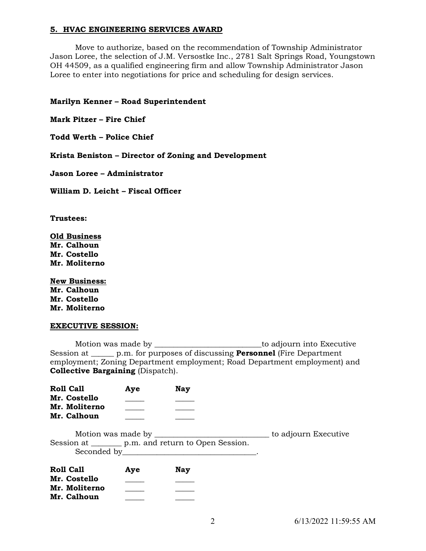# **5. HVAC ENGINEERING SERVICES AWARD**

Move to authorize, based on the recommendation of Township Administrator Jason Loree, the selection of J.M. Versostke Inc., 2781 Salt Springs Road, Youngstown OH 44509, as a qualified engineering firm and allow Township Administrator Jason Loree to enter into negotiations for price and scheduling for design services.

# **Marilyn Kenner – Road Superintendent**

**Mark Pitzer – Fire Chief**

**Todd Werth – Police Chief**

**Krista Beniston – Director of Zoning and Development**

**Jason Loree – Administrator**

**William D. Leicht – Fiscal Officer**

**Trustees:**

**Old Business Mr. Calhoun Mr. Costello Mr. Moliterno**

**New Business: Mr. Calhoun Mr. Costello Mr. Moliterno**

#### **EXECUTIVE SESSION:**

Motion was made by \_\_\_\_\_\_\_\_\_\_\_\_\_\_\_\_\_\_\_\_\_\_\_\_\_\_\_\_to adjourn into Executive Session at \_\_\_\_\_\_ p.m. for purposes of discussing **Personnel** (Fire Department employment; Zoning Department employment; Road Department employment) and **Collective Bargaining** (Dispatch).

| <b>Roll Call</b>             | Ave | Nay                                                   |                      |
|------------------------------|-----|-------------------------------------------------------|----------------------|
| Mr. Costello                 |     |                                                       |                      |
| Mr. Moliterno<br>Mr. Calhoun |     |                                                       |                      |
|                              |     |                                                       | to adjourn Executive |
|                              |     | Session at _________ p.m. and return to Open Session. |                      |

| <b>Roll Call</b> | Aye | <b>Nay</b> |
|------------------|-----|------------|
| Mr. Costello     |     |            |
| Mr. Moliterno    |     |            |
| Mr. Calhoun      |     |            |